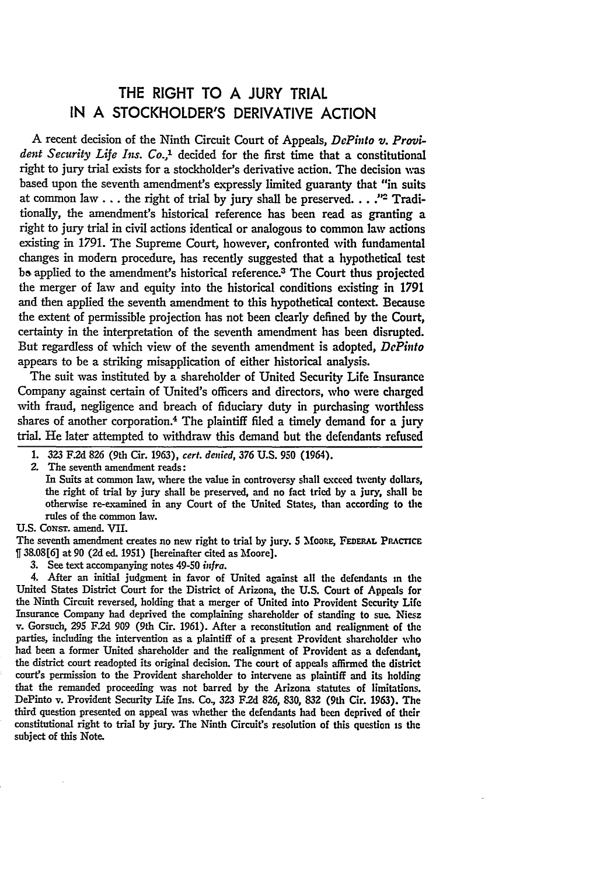## THE RIGHT TO **A JURY** TRIAL **IN A** STOCKHOLDER'S DERIVATIVE **ACTION**

**A** recent decision of the Ninth Circuit Court of Appeals, *DePinto v. Provident Security Life Ins. Co.,'* decided for the first time that a constitutional right to jury trial exists for a stockholder's derivative action. The decision was based upon the seventh amendment's expressly limited guaranty that "in suits at common law.., the right of trial by jury shall be preserved... **."-** Traditionally, the amendment's historical reference has been read as granting a right to jury trial in civil actions identical or analogous to common law actions existing in 1791. The Supreme Court, however, confronted with fundamental changes in modern procedure, has recently suggested that a hypothetical test be applied to the amendment's historical reference.<sup>3</sup> The Court thus projected the merger of law and equity into the historical conditions existing in 1791 and then applied the seventh amendment to this hypothetical context. Because the extent of permissible projection has not been dearly defined **by** the Court, certainty in the interpretation of the seventh amendment has been disrupted. But regardless of which view of the seventh amendment is adopted, *DePinto* appears to be a striking misapplication of either historical analysis.

The suit was instituted by a shareholder of United Security Life Insurance Company against certain of United's officers and directors, who were charged with fraud, negligence and breach of fiduciary duty in purchasing worthless shares of another corporation.4 The plaintiff filed a timely demand for a jury trial. He later attempted to withdraw this demand but the defendants refused

**1. 323 F.2d 826** (9th Cir. **1963),** *cert. denied, 376* **U.S. 950** (1964).

**2.** The seventh amendment reads:

In Suits at common law, where the value in controversy shall exceed twenty dollars, the right of trial **by** jury shall be preserved, and no fact tried **by** a *jury,* shall **be** otherwise re-examined in any Court of the United States, than according to the rules of the common law.

U.S. CoxsT. amend. VII.

The seventh amendment creates no new right to trial by jury. **5 MOORE, FEDERAL PRACTICE 38.08[6]** at **90 (2d** ed. **1951)** [hereinafter cited as Moore].

**3.** See text accompanying notes 49-50 *in!ra.*

4. After an initial judgment in favor of United against all the defendants in the United States District Court for the District of Arizona, the **U.S.** Court of Appeals for the Ninth Circuit reversed, holding that a merger of United into Provident Security Life Insurance Company had deprived the complaining shareholder of standing to sue. Niesz v. Gorsuch, **295 F.2d 909** (9th Cir. **1961).** After a reconstitution and realignment of the parties, including the intervention as a plaintiff of a present Provident shareholder who had been a former United shareholder and the realignment of Provident as a defendant, the district court readopted its original decision. The court of appeals affirmed the district court's permission to the Provident shareholder to intervene as plaintiff and its holding that the remanded proceeding was not barred **by** the Arizona statutes of limitations. DePinto v. Provident Security Life Ins. Co., **323 F.2d 826, 830, 832** (9th Cir. **1963).** The third question presented on appeal was whether the defendants had been deprived of their constitutional right to trial **by** jury. The Ninth Circuit's resolution of this question is the subject of this Note.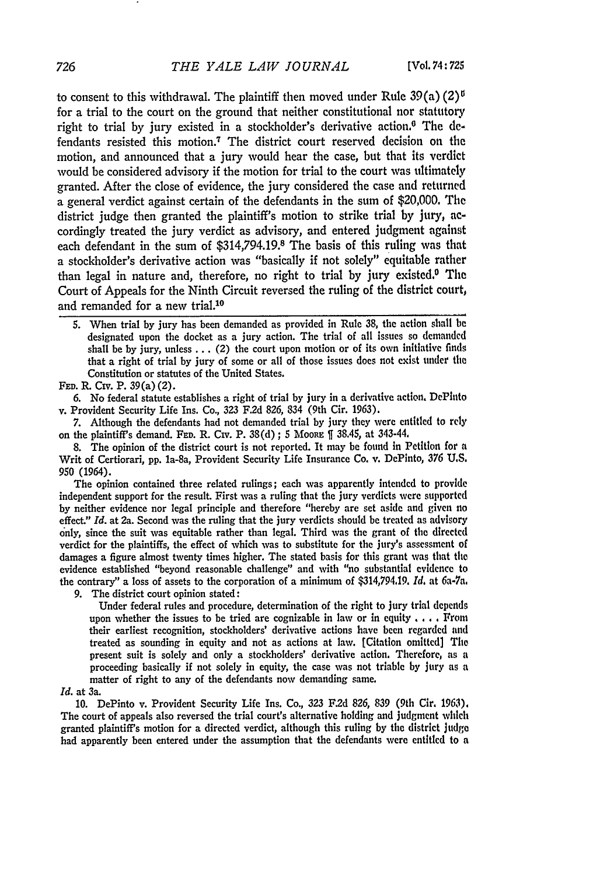to consent to this withdrawal. The plaintiff then moved under Rule  $39(a)(2)^6$ for a trial to the court on the ground that neither constitutional nor statutory right to trial by jury existed in a stockholder's derivative action.<sup>6</sup> The defendants resisted this motion.<sup>7</sup> The district court reserved decision on the motion, and announced that a jury would hear the case, but that its verdict would be considered advisory if the motion for trial to the court was ultimately granted. After the close of evidence, the jury considered the case and returned a general verdict against certain of the defendants in the sum of \$20,000. The district judge then granted the plaintiff's motion to strike trial by jury, **ac**cordingly treated the jury verdict as advisory, and entered judgment against each defendant in the sum of \$314,794.19.8 The basis of this ruling was that a stockholder's derivative action was "basically if not solely" equitable rather than legal in nature and, therefore, no right to trial by jury existed.<sup>0</sup> The Court of Appeals for the Ninth Circuit reversed the ruling of the district court, and remanded for a new trial.<sup>10</sup>

**FED.** R. Civ. P. **39** (a) (2).

6. No federal statute establishes a right of trial **by** jury in a derivative action. DePluto v. Provident Security Life Ins. Co., **323 F.2d** 826, 834 (9th Cir. 1963).

**7.** Although the defendants had not demanded trial **by** jury they were entitled to rely on the plaintiff's demand. FED. R. Civ. P.  $38(d)$ ; 5 Moore []  $38.45$ , at  $343-44$ .

**8.** The opinion of the district court is not reported. It may **be** found in Petition for a Writ of Certiorari, **pp.** la-8a, Provident Security Life Insurance Co. v. DePinto, **376 U.S. 950** (1964).

The opinion contained three related rulings; each **was** apparently intended to provide independent support for the result. First **was** a ruling that the jury verdicts were supported **by** neither evidence nor legal principle and therefore "hereby are set aside and given **no** effect." *Id.* at 2a. Second was the ruling that the jury verdicts should **be** treated as advisory only, since the suit **was** equitable rather than legal. Third was the grant of the directed verdict for the plaintiffs, the effect of which was to substitute for the jury's assessment of damages a figure almost twenty times higher. The stated basis for this grant was that the evidence established "beyond reasonable challenge" and with "no substantial evidence to the contrary" a loss of assets to the corporation of a minimum of \$314,794.19. *Id.* at 6a-7a.

9. The district court opinion stated:

Under federal rules and procedure, determination of the right to jury trial **depends** upon whether the issues to be tried are cognizable in law or in equity . **. .** . From their earliest recognition, stockholders' derivative actions have been regarded and treated as sounding in equity and not as actions at law. [Citation omitted] The present suit is solely and only a stockholders' derivative action. Therefore, as a proceeding basically if not solely in equity, the case was not triable **by** jury as a matter of right to any of the defendants now demanding same.

## *Id.* at 3a.

**10.** DePinto v. Provident Security Life Ins. Co., **323 F.2d 826, 839** (9th Cir. 1963). The court of appeals also reversed the trial court's alternative holding and judgment which granted plaintiff's motion for a directed verdict, although this ruling **by** the district **judge** had apparently been entered under the assumption that the defendants were entitled to **a**

726

**<sup>5.</sup>** When trial **by** jury has been demanded as provided in Rule **38,** the action shall **be** designated upon the docket as a jury action. The trial of all issues so demanded shall be **by** jury, unless **...** (2) the court upon motion or of its own initiative finds that a right of trial by jury of some or all of those issues does not exist tinder the Constitution or statutes of the United States.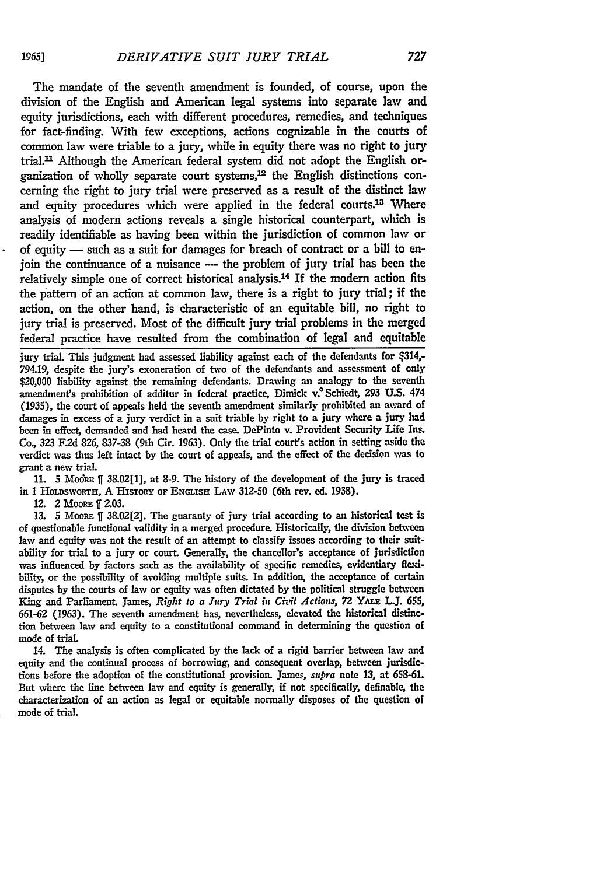The mandate of the seventh amendment is founded, of course, upon the division of the English and American legal systems into separate law and equity jurisdictions, each with different procedures, remedies, and techniques for fact-finding. With few exceptions, actions cognizable in the courts of common law were triable **to a jury,** while **in** equity there was no right to jury trial." Although the American federal system did not adopt the English organization of wholly separate court systems,<sup>12</sup> the English distinctions concerning the right to jury trial were preserved as a result of the distinct **law** and equity procedures which were applied in the federal courts.13 Where analysis of modem actions reveals a single historical counterpart, which is readily identifiable as having been within the jurisdiction of common law or of equity - such as a suit for damages for breach of contract or a **bill** to enjoin the continuance of a nuisance - the problem of jury trial has been the relatively simple one of correct historical analysis.<sup>14</sup> If the modern action fits the pattern of an action at common law, there is a right to jury trial; if the action, on the other hand, is characteristic of an equitable bill, no right to jury trial is preserved. Most of the difficult jury trial problems in the merged federal practice have resulted from the combination of legal and equitable

**jury trial.** This judgment had assessed liability against each of the defendants for \$314,- **794.19,** despite the jury's exoneration of two of the defendants and assessment of only \$20,000 liability against the remaining defendants. Drawing an analogy to the seventh amendment's prohibition of additur in federal practice, Dimick **v.** Schiedt, **293 U.S.** 474 **(1935),** the court of appeals held the seventh amendment similarly prohibited an award of damages in excess of a jury verdict in a suit triable **by** right to a jury where a jury had been in effect, demanded and had heard the case. DePinto v. Provident Security Life Ins. Co., **323 F.2d 826, 837-38** (9th Cir. **1963).** Only the trial court's action in setting aside the verdict was thus left intact **by** the court of appeals, and the effect of the decision *was* to grant a new trial.

**11. 5** Mfock **38.02[1],** at **8-9.** The history of the development of the jury is traced in 1 HorvswoRrn, **A** HISTORY **OF ENGrsH** LAW **312-50** (6th rev. **ed. 1938).**

12. 2 MOORE **f 2.03.**

**13. 5** MooRa **ff 38.02[2].** The guaranty of jury trial according to an historical test is of questionable functional validity in a merged procedure. Historically, the division between law and equity was not the result of an attempt to classify issues according to their suitability for trial to a jury or court. Generally, the chancellor's acceptance of jurisdiction was influenced **by** factors such as the availability of specific remedies, evidentiary flexibility, or the possibility of avoiding multiple suits. In addition, the acceptance of certain disputes by the courts of law or equity was often dictated by the political struggle between King and Parliament, James, *Right to a Jury Trial in Civil Actions*, 72 YALE L.J. 655, **661-62 (1963).** The seventh amendment has, nevertheless, elevated the historical distinction between law and equity to a constitutional command in determining the question of mode of trial.

14. The analysis is often complicated **by** the lack of a rigid barrier between law and equity and the continual process of borrowing, and consequent overlap, between jurisdictions before the adoption of the constitutional provision. James, *supra* note **13,** at **658-61.** But where the line between law and equity is generally, if not specifically, definable, the characterization of an action as legal or equitable normally disposes of the question of mode of trial.

19651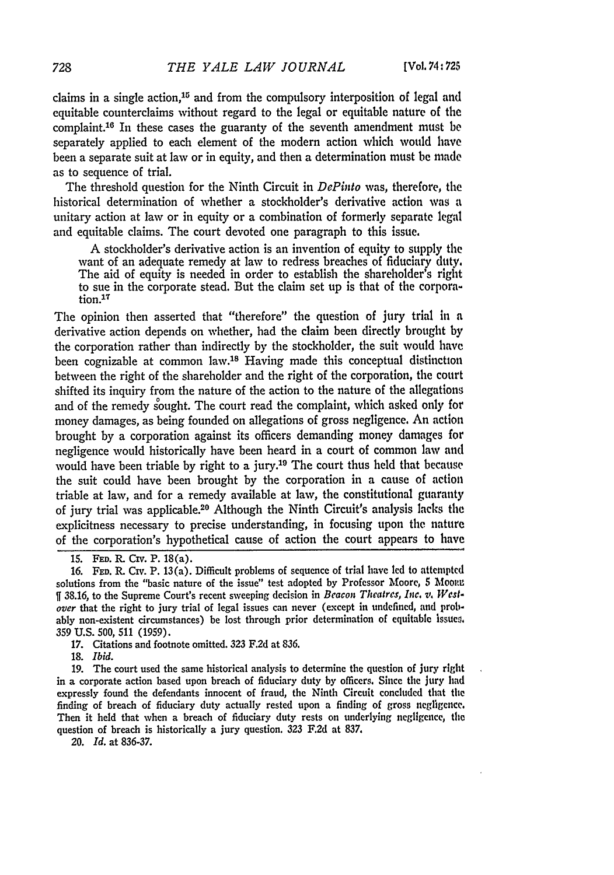claims in a single action,  $15$  and from the compulsory interposition of legal and equitable counterclaims without regard to the legal or equitable nature of the complaint.'6 In these cases the guaranty of the seventh amendment must **be** separately applied to each element of the modern action which would have been a separate suit at law or in equity, and then a determination must **be** made as to sequence of trial.

The threshold question for the Ninth Circuit in *DePinto* was, therefore, the historical determination of whether a stockholder's derivative action was a unitary action at law or in equity or a combination of formerly separate legal and equitable claims. The court devoted one paragraph to this issue.

A stockholder's derivative action is an invention of equity to supply the want of an adequate remedy at law to redress breaches of fiduciary duty. The aid of equity is needed in order to establish the shareholder's right to sue in the corporate stead. But the claim set up is that of the corporation.<sup>17</sup>

The opinion then asserted that "therefore" the question of jury trial in a derivative action depends on whether, had the claim been directly brought **by** the corporation rather than indirectly by the stockholder, the suit would have been cognizable at common law.<sup>18</sup> Having made this conceptual distinction between the right of the shareholder and the right of the corporation, the court shifted its inquiry from the nature of the action to the nature of the allegations and of the remedy sought. The court read the complaint, which asked only for money damages, as being founded on allegations of gross negligence. An action brought **by** a corporation against its officers demanding money damages for negligence would historically have been heard in a court of common law and would have been triable by right to a jury.<sup>19</sup> The court thus held that because the suit could have been brought by the corporation in a cause of action triable at law, and for a remedy available at law, the constitutional guaranty of jury trial was applicable.20 Although the Ninth Circuit's analysis lacks the explicitness necessary to precise understanding, in focusing upon the nature of the corporation's hypothetical cause of action the court appears to have

17. Citations and footnote omitted. **323 F.2d** at 836.

**18.** *Ibid.*

19. The court used the same historical analysis to determine the question of jury right in a corporate action based upon breach of fiduciary duty **by** officers. Since the jury had expressly found the defendants innocent of fraud, the Ninth Circuit concluded that the finding of breach of fiduciary duty actually rested upon a finding of gross negligence. Then it held that when a breach of fiduciary duty rests on underlying negligence, the question of breach is historically a jury question. **323** F.2d at **837.**

20. *Id.* at **836-37.**

**<sup>15.</sup> FED.** R. Civ. P. 18(a).

<sup>16.</sup> FED. R. Civ. P. 13(a). Difficult problems of sequence of trial have led to attempted solutions from the "basic nature of the issue" test adopted by Professor Moore, 5 Moore **ff** 38.16, to the Supreme Court's recent sweeping decision in *Beacon Theatres, Inc. v. Westover* that the right to jury trial of legal issues can never (except in undefined, and probably non-existent circumstances) be lost through prior determination of equitable lssuen. **359** U.S. **500, 511 (1959).**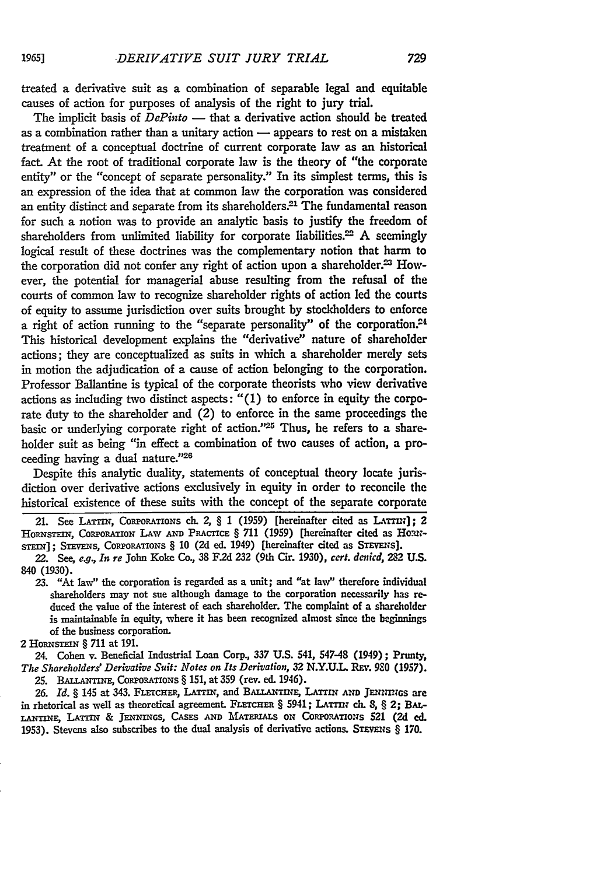treated a derivative suit as a combination of separable legal and equitable causes of action for purposes of analysis of the right to jury trial.

The implicit basis of *DePinto* — that a derivative action should be treated as a combination rather than a unitary action  $\rightarrow$  appears to rest on a mistaken treatment of a conceptual doctrine of current corporate law as an historical fact. At the root of traditional corporate law is the theory of "the corporate entity" or the "concept of separate personality." In its simplest terms, this is an expression of the idea that at common law the corporation was considered an entity distinct and separate from its shareholders.<sup>21</sup> The fundamental reason for such a notion was to provide an analytic basis to justify the freedom of shareholders from unlimited liability for corporate liabilities.<sup>22</sup> A seemingly logical result of these doctrines was the complementary notion that harm to the corporation did not confer any right of action upon a shareholder.<sup>23</sup> However, the potential for managerial abuse resulting from the refusal of the courts of common law to recognize shareholder rights of action **led** the courts of equity to assume jurisdiction over suits brought **by** stockholders to enforce a right of action running to the "separate personality" of the corporation.<sup>24</sup> This historical development explains the "derivative" nature of shareholder actions; they are conceptualized as suits in which a shareholder merely sets in motion the adjudication of a cause of action belonging to the corporation. Professor Ballantine is typical of the corporate theorists who view derivative actions as including two distinct aspects: "(1) to enforce in equity the corporate duty to the shareholder and (2) to enforce in the same proceedings the basic or underlying corporate right of action."<sup>25</sup> Thus, he refers to a shareholder suit as being "in effect a combination of two causes of action, a proceeding having a dual nature."<sup>26</sup>

Despite this analytic duality, statements of conceptual theory locate jurisdiction over derivative actions exclusively in equity in order to reconcile the historical existence of these suits with the concept of the separate corporate

21. See LATTIN, CORPORATIONS ch. 2, § 1 (1959) [hereinafter cited as LATTIN]; 2 HORNSTEIN, CORPORATION LAW AND PRACTICE § 711 (1959) [hereinafter cited as Home-STEIN]: STEVENS, CORPORATIONS § 10 (2d ed. 1949) [hereinafter cited as STEVENS].

*22.* See, e.g., *In re* **John** Koke Co., **38 F.2d 232** (9th Cir. 1930), *cert. denicd, 282* **U.S.** 840 (1930).

**23.** "At law" the corporation is regarded as a unit; and "at law" therefore individual shareholders may not sue although damage to the corporation necessarily has reduced the value of the interest of each shareholder. The complaint of a shareholder is maintainable in equity, where **it** has been recognized almost since the beginnings of the business corporation.

2 HORNSTEIN § 711 at 191.

24. Cohen v. Beneficial Industrial Loan Corp., **337 U.S.** 541, 547-48 (1949); **Prunty,** *The Shareholders' Derivative Suit: Notes on Its Derivation,* **32** N.Y.U.L. **Rv. 980** (1957).

**25.** BAzsNiNi, CoRpoRATIo Ns **§ 151,** at **359** (rev. ed. 1946).

*26. Id. §* 145 at **343.** FLcrcHER, LATri, and **BALLANTiNE, LATrIN AND JENI NGS are** in rhetorical as well as theoretical agreement. FLETCHER § 5941; LATTIN ch. 8, § 2; BAL-LANTINE, LATTIN & JENNINGS, CASES AND MATERIALS ON CORPORATIONS 521 (2d ed. 1953). Stevens also subscribes to the dual analysis of derivative actions. STEVENS § 170.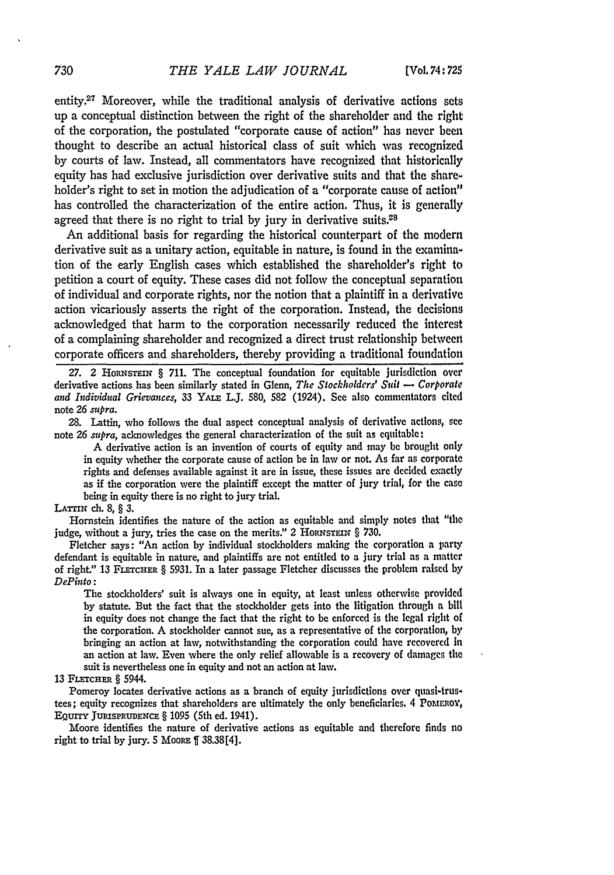entity.27 Moreover, while the traditional analysis of derivative actions sets up a conceptual distinction between the right of the shareholder and the right of the corporation, the postulated "corporate cause of action" has never been thought to describe an actual historical class of suit which was recognized **by** courts of law. Instead, all commentators have recognized that historically equity has had exclusive jurisdiction over derivative suits and that the shareholder's right to set in motion the adjudication of a "corporate cause of action" has controlled the characterization of the entire action. Thus, it is generally agreed that there is no right to trial by jury in derivative suits.<sup>28</sup>

**An** additional basis for regarding the historical counterpart of the modern derivative suit as a unitary action, equitable in nature, is found in the examination of the early English cases which established the shareholder's right to petition a court of equity. These cases did not follow the conceptual separation of individual and corporate rights, nor the notion that a plaintiff in a derivative action vicariously asserts the right of the corporation. Instead, the decisions acknowledged that harm to the corporation necessarily reduced the interest of a complaining shareholder and recognized a direct trust relationship between corporate officers and shareholders, thereby providing a traditional foundation

27. 2 Hornstein § 711. The conceptual foundation for equitable jurisdiction over derivative actions has been similarly stated in Glenn, *The Stockholders' Suil* **-** Corporate *and Individual Grievances,* **33 YAuE** L.J. **580, 582** (1924). See also commentators cited note **26** *supra.*

**28.** Lattin, who follows the dual aspect conceptual analysis of derivative actions, see note **26** *supra,* acknowledges the general characterization of the suit as equitable:

**A** derivative action is an invention of courts of equity and may **be** brought only in equity whether the corporate cause of action be in law or not. As far as corporate rights and defenses available against it are in issue, these issues are **decided** exactly as if the corporation were the plaintiff except the matter of jury trial, for the case being in equity there is no right to jury trial.

## **LATTIN** ch. 8, § 3.

Hornstein identifies the nature of the action as equitable and simply notes that "the judge, without a jury, tries the case on the merits." 2 HORNSTEIN § 730.

Fletcher says: "An action **by** individual stockholders making the corporation a party defendant is equitable in nature, and plaintiffs are not entitled to a **jury** trial as a matter of right." **13 FlE=CHER** § **5931.** In a later passage Fletcher discusses the problem raised **by** *DePinto:*

The stockholders' suit is always one in equity, at least unless otherwise provided **by** statute. But the fact that the stockholder gets into the litigation through a **bill** in equity does not change the fact that the right to be enforced is the **legal** right of the corporation. **A** stockholder cannot sue, as a representative of the corporation, **by** bringing an action at law, notwithstanding the corporation could have recovered In an action at law. Even where the only relief allowable is a recovery **of** damages the suit is nevertheless one in equity and not an action at law.

## 13 FLETCHER § 5944.

Pomeroy locates derivative actions as a branch of equity jurisdictions over quasi-trustees; equity recognizes that shareholders are ultimately the only beneficiaries. 4 PoMumoY, EQurrY **JURiSPRUDENcE** § **1095** (5th ed. 1941).

Moore identifies the nature of derivative actions as equitable and therefore finds no right to trial by jury.  $5 \text{ Moore } f$  38.38[4].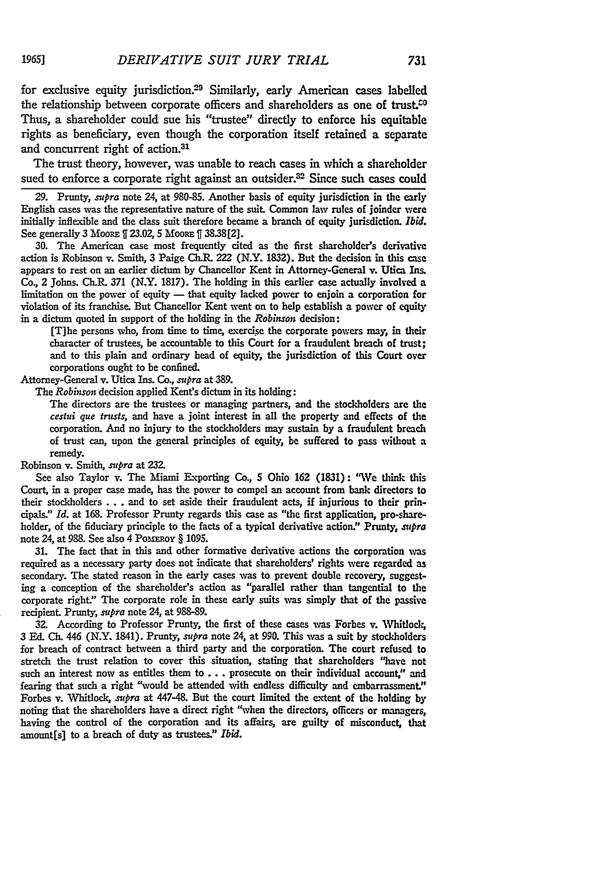for exclusive equity jurisdiction.29 Similarly, early American cases labelled the relationship between corporate officers and shareholders as one of trust.<sup> $\infty$ </sup> Thus, a shareholder could sue his "trustee" directly to enforce his equitable rights as beneficiary, even though the corporation itself retained a separate and concurrent right of action.<sup>31</sup>

The trust theory, however, was unable to reach cases in which a shareholder sued to enforce a corporate right against an outsider. $32$  Since such cases could

**29.** Prunty, *supra* note 24, at 980-85. Another basis of equity jurisdiction in the early English cases was the representative nature of the suit. Common law rules of joinder were initially inflexible and the class suit therefore became a branch of equity jurisdiction. *Ibid.* See generally **3** MooRE **f 23.02, 5** MooRE **f 38.38[2].**

**30.** The American case most frequently cited as the first shareholder's derivative action is Robinson v. Smith, **3** Paige **Ch.R.** 222 (N.Y. **1832).** But the decision in this case appears to rest on an earlier dictum **by** Chancellor Kent in Attorney-General v. Utica Ins. Co., 2 Johns. **Ch.R.** *371* (N.Y. **1817).** The holding in this earlier case actually involved a limitation on the power of equity - that equity lacked power to enjoin a corporation for violation of its franchise. But Chancellor Kent went on to help establish a power of equity in a dictum quoted in support of the holding in the *Robinson* decision:

[T]he persons who, from time to time, exercise the corporate powers may, in their character of trustees, be accountable to this Court for a fraudulent breach of trust; and to this plain and ordinary head of equity, the jurisdiction of this Court over corporations ought to be confined.

Attorney-General v. Utica Ins. Co., *supra* at **389.**

The *Robinson* decision applied Kent's dictum in its holding:

The directors are the trustees or managing partners, and the stockholders are the *cestui que trusts,* and have a joint interest in all the property and effects of the corporation. And no injury to the stockholders may sustain **by** a fraudulent breach of trust can, upon the general principles of equity, be suffered to pass without a remedy.

Robinson v. Smith, *supra* at **232.**

See also Taylor v. The Miami Exporting Co., **5** Ohio **162 (1831):** "We think this Court, in a proper case made, has the power to compel an account from bank directors to their stockholders... and to set aside their fraudulent acts, if injurious to their principals." *Id.* at **168.** Professor Prunty regards this case as "the first application, pro-shareholder, of the fiduciary principle to the facts of a typical derivative action." Prunty, *stupra* note 24, at 988. See also 4 Pomeroy § 1095.

**31.** The fact that in this and other formative derivative actions the corporation was required as a necessary party does not indicate that shareholders' rights were regarded as secondary. The stated reason in the early cases was to prevent double recovery, suggesting a conception of the shareholder's action as "parallel rather than tangential to the corporate right." The corporate role in these early suits was simply that of the passive recipient. Prunty, *supra* note 24, at **988-89.**

**32.** According to Professor Prunty, the first of these cases was Forbes v. Whitlock, **3 Ed. Ch.** 446 (N.Y. 1841). Prunty, *supra* note 24, at **990.** This was a suit by stockholders for breach of contract between a third party and the corporation. The court refused to stretch the trust relation to cover this situation, stating that shareholders "have not such an interest now as entitles them to **...** prosecute on their individual account," and fearing that such a right "would be attended with endless difficulty and embarrassment." Forbes v. Whitlock, *supra* at 447-48. But the court limited the extent of the holding **by** noting that the shareholders have a direct right "when the directors, officers or managers, having the control of the corporation and its affairs, are guilty of misconduct, that amount[s] to a breach of duty as trustees." *Ibid.*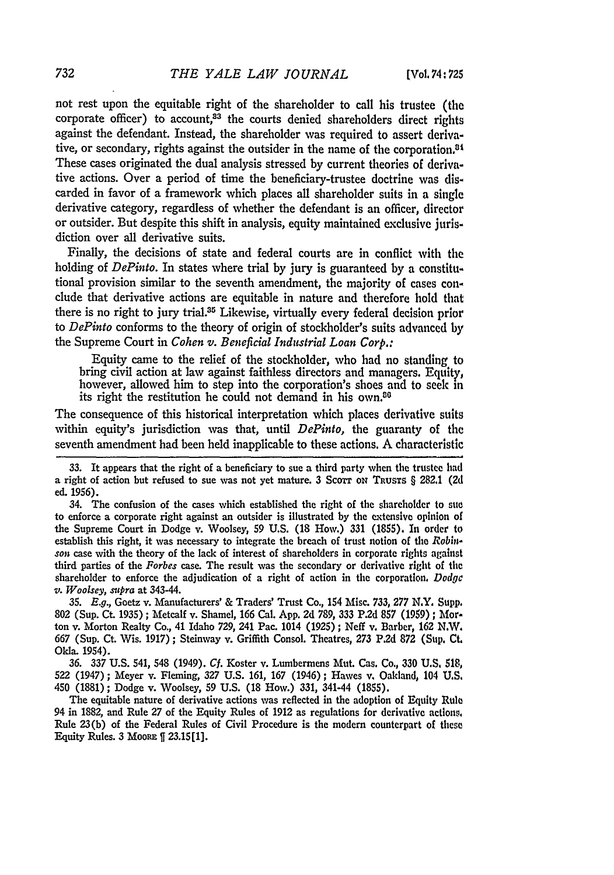not rest upon the equitable right of the shareholder to call his trustee (the corporate officer) to account,<sup>33</sup> the courts denied shareholders direct rights against the defendant. Instead, the shareholder was required to assert derivative, or secondary, rights against the outsider in the name of the corporation.<sup>84</sup> These cases originated the dual analysis stressed **by** current theories of derivative actions. Over a period of time the beneficiary-trustee doctrine was **dis**carded in favor of a framework which places all shareholder suits in a single derivative category, regardless of whether the defendant is an officer, director or outsider. But despite this shift in analysis, equity maintained exclusive jurisdiction over all derivative suits.

Finally, the decisions of state and federal courts are in conflict with the holding of *DePinto.* In states where trial **by** jury is guaranteed **by** a constitutional provision similar to the seventh amendment, the majority of cases conclude that derivative actions are equitable in nature and therefore hold that there is no right to jury trial.<sup>35</sup> Likewise, virtually every federal decision prior to *DePinto* conforms to the theory of origin of stockholder's suits advanced **by** the Supreme Court in *Cohen v. Beneficial Industrial Loan Corp.:*

Equity came to the relief of the stockholder, who **had** no standing to bring civil action at law against faithless directors and managers. Equity, however, allowed him to step into the corporation's shoes and to seek in its right the restitution he could not demand in his own.<sup>86</sup>

The consequence of this historical interpretation which places derivative suits within equity's jurisdiction was that, until *DePinto,* the guaranty of the seventh amendment **had** been held inapplicable to these actions. **A** characteristic

34. The confusion of the cases which established the right of the shareholder to ste to enforce a corporate right against an outsider is illustrated **by** the extensive opinion of the Supreme Court in Dodge v. Woolsey, **59 U.S. (18** How.) **331 (1855).** In order to establish this right, it was necessary to integrate the breach of trust notion of **the** *Robinson* case with the theory of the lack of interest of shareholders in corporate rights against third parties of the *Forbes* case. The result was the secondary or derivative right of **the** shareholder to enforce the adjudication of a right of action in the corporation, *Dodge v. Woolsey, supra* at 343-44.

**35. E.g.,** Goetz v. Manufacturers' **&** Traders' Trust Co., 154 Misc. **733, 277** N.Y. **Supp. 802** (Sup. Ct. **1935) ;** Metcalf v. Shamel, **166** Cal. **App. 2d 789, 333 P.2d 857 (1959) ;** Mforton v. Morton Realty Co., 41 Idaho **729,** 241 Pac. 1014 **(1925) ;** Neff v. Barber, **162** *NX.W* **667** (Sup. Ct. Wis. **1917);** Steinway v. Griffith Consol. Theatres, **273 P.2d 872 (Sup. CLt** Okla. 1954).

**36. 337 U.S.** 541, **548** (1949). *Cf.* Koster v. Lumbermens Mut. Cas. Co., **330 U.S. 518, 522** (1947); Meyer v. Fleming, **327 U.S. 161, 167** (1946); Hawes v. Oakland, 104 **U.S.** 450 **(1881);** Dodge v. Woolsey, **59 U.S. (18** How.) **331,** 341-44 **(1855).**

The equitable nature of derivative actions was reflected in the adoption of **Equity** Rule 94 in **1882,** and Rule **27** of the Equity Rules of **1912** as regulations for derivative actions, Rule **23(b)** of the Federal Rules of Civil Procedure is the modem counterpart of these Equity Rules. **3 MooRE 23.15[l].**

**<sup>33.</sup>** It appears that the right of a beneficiary to sue a third party when the trustee **had** a right of action but refused to sue was not yet mature. **3** Scow ox **TRusTs §** 282.1 **(2d** ed. **1956).**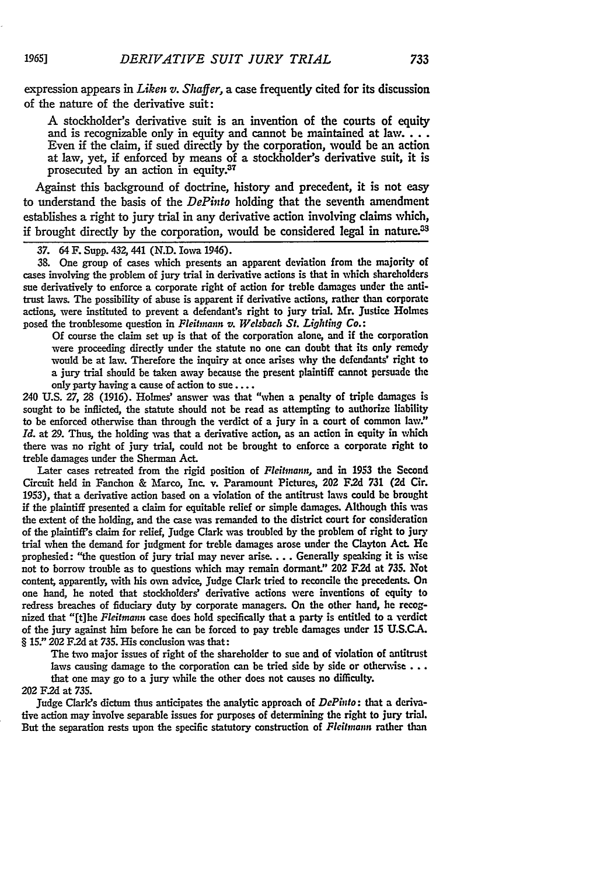expression appears in *Liken v. Shaffer*, a case frequently cited for its discussion of the nature of the derivative suit:

A stockholder's derivative suit is an invention of the courts of equity and is recognizable only in equity and cannot be maintained at  $law$ ... Even if the claim, if sued directly by the corporation, would be an action at law, yet, if enforced by means of a stockholder's derivative suit, it is prosecuted by an action in equity.<sup>37</sup>

Against this background of doctrine, history and precedent, it is not easy to understand the basis of the *DePinto* holding that the seventh amendment establishes a right to jury trial in any derivative action involving claims which, if brought directly by the corporation, would be considered legal in nature.<sup>33</sup>

*37.* 64 F. Supp. 432, 441 **(N.D.** Iowa 1946).

**38.** One group of cases which presents an apparent deviation from the majority of cases involving the problem of jury trial in derivative actions is that in which shareholders sue derivatively to enforce a corporate right of action for treble damages under the antitrust laws. The possibility of abuse is apparent if derivative actions, rather than corporate actions, were instituted to prevent a defendant's right to jury trial. Mr. Justice Holmes posed the troublesome question in *Fleitnann v. Welsbach St. Lighting Co.:*

Of course the claim set up is that of the corporation alone, and if the corporation were proceeding directly under the statute no one can doubt that its only remedy would be at law. Therefore the inquiry at once arises why the defendants' right to a jury trial should be taken away because the present plaintiff cannot persuade the only party having a cause of action to sue ....

240 U.S. 27, 28 (1916). Holmes' answer was that "when a penalty of triple damages is sought to be inflicted, the statute should not be read as attempting to authorize liability to be enforced otherwise than through the verdict of a jury in a court of common law." *Id.* at 29. Thus, the holding was that a derivative action, as an action in equity in which there was no right of jury trial, could not be brought to enforce a corporate right to treble damages under the Sherman Act.

Later cases retreated from the rigid position of *Fleitinann,* and in **1953** the Second Circuit held in Fanchon & Marco, Inc. v. Paramount Pictures, 202 **F.2d 731** (2d Cir. 1953), that a derivative action based on a violation of the antitrust laws could be brought if the plaintiff presented a claim for equitable relief or simple damages. Although this was the extent of the holding, and the case was remanded to the district court for consideration of the plaintiff's claim for relief, Judge Clark was troubled by the problem of right to jury trial when the demand for judgment for treble damages arose under the Clayton Act. He prophesied: "the question of jury trial may never arise.... Generally speaking it is wise not to borrow trouble as to questions which may remain dormant." 202 F.2d at **735.** Not content, apparently, with his own advice, Judge Clark tried to reconcile the precedents. On one hand, he noted that stockholders' derivative actions were inventions of equity to redress breaches of fiduciary duty by corporate managers. On the other hand, he recognized that "[tihe *Fleitmann* case does hold specifically that a party is entitled to a verdict of the jury against him before he can be forced to pay treble damages under **15** U.S.C.A. § 15." **202** F.2d at 735. His conclusion was that:

The two major issues of right of the shareholder to sue and of violation of antitrust laws causing damage to the corporation can be tried side by side or otherwise . . . that one may go to a jury while the other does not causes no difficulty.

202 **F2d** at *735.*

Judge Clark's dictum thus anticipates the analytic approach of *DePinto:* that a derivative action may involve separable issues for purposes of determining the right to jury trial. But the separation rests upon the specific statutory construction of *Fleitinann* rather than

*1965]*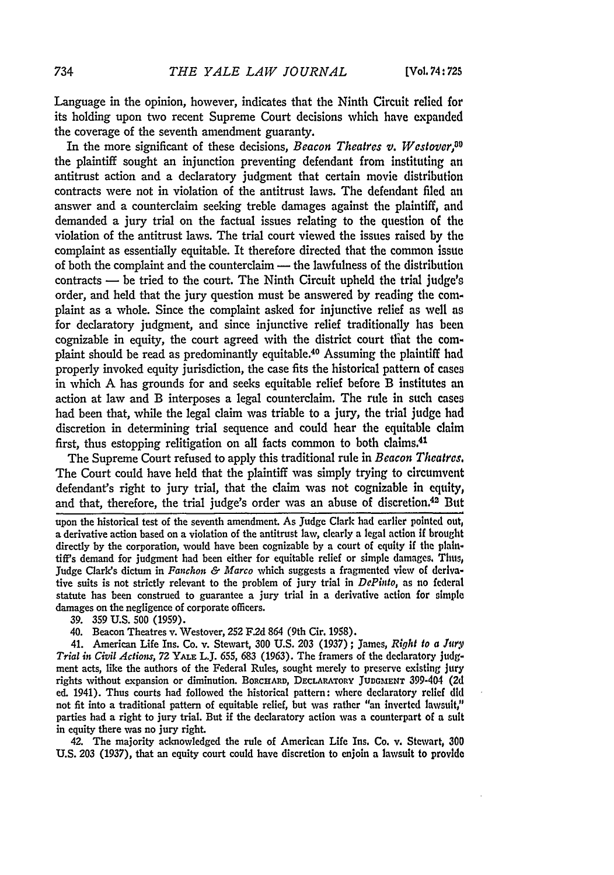Language in the opinion, however, indicates that the Ninth Circuit relied for its holding upon two recent Supreme Court decisions which have expanded the coverage of the seventh amendment guaranty.

In the more significant of these decisions, *Beacon Theatres v. Westover*,<sup>39</sup> the plaintiff sought an injunction preventing defendant from instituting an antitrust action and a declaratory judgment that certain movie distribution contracts were not in violation of the antitrust laws. The defendant filed an answer and a counterclaim seeking treble damages against the plaintiff, and demanded a jury trial on the factual issues relating to the question of the violation of the antitrust laws. The trial court viewed the issues raised by the complaint as essentially equitable. It therefore directed that the common issue of both the complaint and the counterclaim **-** the lawfulness of the distribution contracts **-** be tried to the court. The Ninth Circuit upheld the trial judge's order, and held that the jury question must be answered **by** reading the complaint as a whole. Since the complaint asked for injunctive relief as well as for declaratory judgment, and since injunctive relief traditionally has been cognizable in equity, the court agreed with the district court **tflat** the complaint should be read as predominantly equitable.40 Assuming the plaintiff had properly invoked equity jurisdiction, the case fits the historical pattern of cases in which **A** has grounds for and seeks equitable relief before B institutes an action at law and B interposes a legal counterclaim. The rule in such cases had been that, while the legal claim was triable to a jury, the trial **judge had** discretion in determining trial sequence and could hear the equitable claim first, thus estopping relitigation on all facts common to both claims.<sup>41</sup>

The Supreme Court refused to apply this traditional rule in *Beacon Theatres.* The Court could have held that the plaintiff was simply trying to circumvent defendant's right to jury trial, that the claim was not cognizable in equity, and that, therefore, the trial judge's order was an abuse of discretion.42 But

upon the historical test of the seventh amendment. As Judge Clark **had** earlier pointed out, a derivative action based on a violation of the antitrust law, clearly a legal action **if** brought directly **by** the corporation, would have been cognizable **by** a court of equity if the plaintiff's demand for judgment **had** been either for equitable relief or simple damages, Tiun,, Judge Clark's dictum in *Fanchon & Marco* which suggests a fragmented view of derivative suits is not strictly relevant to the problem of jury trial in *DePinto*, as no federal statute has been construed to guarantee a jury trial in a derivative action **for** simple damages on the negligence of corporate officers.

**39. 359 U.S. 500 (1959).**

40. Beacon Theatres v. Westover, **252** F2d 864 (9th Cir. **1958).**

41. American Life Ins. Co. v. Stewart, **300 U.S. 203 (1937);** James, *Right to a Jury Trial in Civil Actions, 72* YALE L.J. **655, 683 (1963).** The framers of the declaratory judgment acts, like the authors of the Federal Rules, sought merely to preserve existing jury rights without expansion or diminution. BORCHARD, DECLARATORY **JUDGMENT** 399-404 **(2d** ed. 1941). Thus courts had followed the historical pattern: where declaratory relief **did** not fit into a traditional pattern of equitable relief, but was rather "an inverted lawsuit," parties had a right to jury trial. But if the declaratory action was a counterpart of a suit in equity there was no jury right.

42. The majority acknowledged the rule of American Life Ins. Co. v. Stewart, **300** U.S. **203** (1937), that an equity court could have discretion to enjoin a lawsuit to provide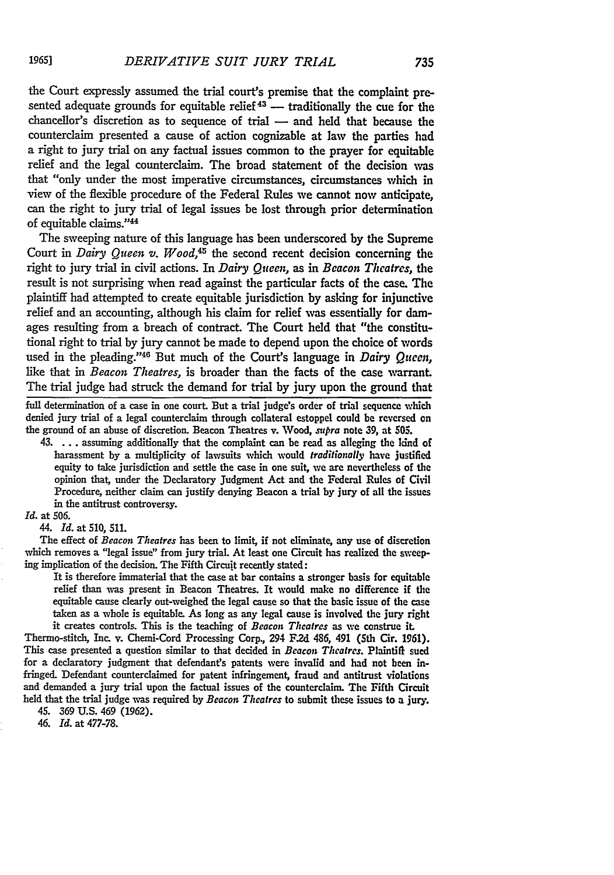the Court expressly assumed the trial court's premise that the complaint presented adequate grounds for equitable relief  $43$  — traditionally the cue for the chancellor's discretion as to sequence of trial  $-$  and held that because the counterclaim presented a cause of action cognizable at law the parties had a right to jury trial on any factual issues common to the prayer for equitable relief and the legal counterclaim. The broad statement of the decision vas that "only under the most imperative circumstances, circumstances which in view of the flexible procedure of the Federal Rules we cannot now anticipate, can the right to jury trial of legal issues be lost through prior determination of equitable claims."<sup>44</sup>

The sweeping nature of this language has been underscored **by** the Supreme Court in *Dairy Queen v. Wood,45* the second recent decision concerning the right to jury trial in civil actions. In *Dairy Queen,* as in *Bcacon Theatres, the* result is not surprising when read against the particular facts of the case. The plaintiff had attempted to create equitable jurisdiction **by** asking for injunctive relief and an accounting, although his claim for relief was essentially for damages resulting from a breach of contract. The Court held that "the constitutional right to trial **by** jury cannot be made to depend upon the choice of words used in the pleading."46 But much of the Court's language in *Dairy Queen,* like that in *Beacon Theatres,* is broader than the facts of the case warrant. The trial judge had struck the demand for trial **by** jury upon the ground that

full determination of a case in one court. But a trial judge's order of trial sequence which denied jury trial of a legal counterclaim through collateral estoppel could be reversed **on** the ground of an abuse of discretion. Beacon Theatres v. Wood, *stpra* note **39,** at **505.**

43. . **.** . assuming additionally that the complaint can be read as alleging the kind of harassment **by** a multiplicity of lawsuits which would *traditionally* have justified equity to take jurisdiction and settle the case in one suit, we are nevertheless of the opinion that, under the Declaratory Judgment Act and the Federal Rules of Civil Procedure, neither claim can justify denying Beacon a trial **by** jury of all the issues in the antitrust controversy.

*Id.* at 506.

44. *Id.* at 510, **511.**

The effect of *Beacon Theatres* has been to limit, if not eliminate, any use of discretion which removes a "legal issue" from jury trial. At least one Circuit has realized the sweeping implication of the decision. The Fifth Circuit recently stated:

It is therefore immaterial that the case at bar contains a stronger basis for equitable relief **than** was present in Beacon Theatres. It would make no difference if the equitable cause clearly out-weighed the legal cause so that the basic issue of the case taken as a whole is equitable. As long as any legal cause is involved the jury right it creates controls. This is the teaching of *Beacon* Theatres as we construe **it.**

Thermo-stitch, Inc. v. Chemi-Cord Processing Corp., 294 **F.2d** 486, 491 (5th Cir. **1961).** This case presented a question similar to that decided in *Beacon Theatres.* Plaintift sued for a declaratory judgment that defendant's patents were invalid and had not been infringed. Defendant counterclaimed for patent infringement, fraud and antitrust violations and demanded a jury trial upon the factual issues of the counterclaim. The Fifth Circuit held that the trial judge was required **by** *Beacon Theatres* to submit these issues to a jury.

45. **369 U.S.** 469 **(1962).**

*46. Id.* at **477-78.**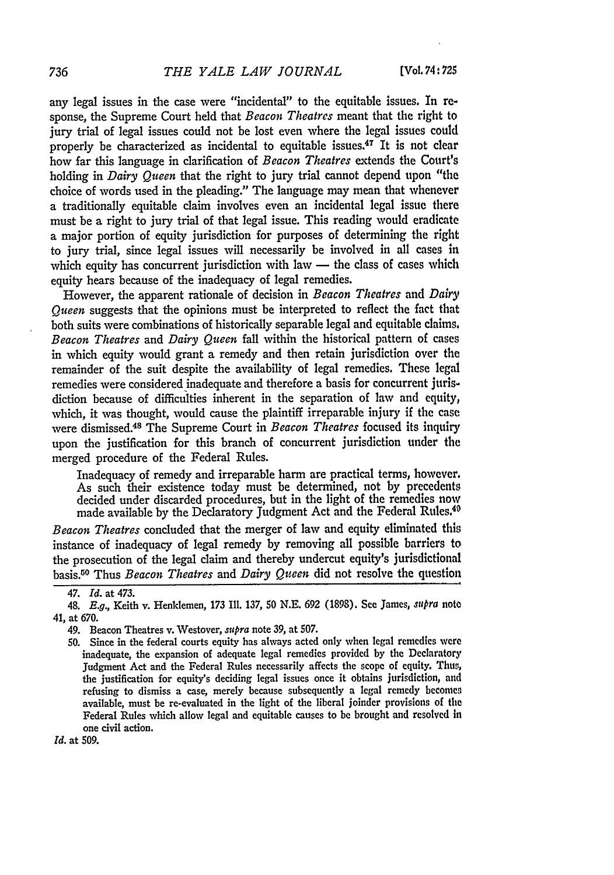any legal issues in the case were "incidental" to the equitable issues. In response, the Supreme Court held that *Beacon Theatres* meant that the right to jury trial of legal issues could not be lost even where the legal issues could properly be characterized as incidental to equitable issues.<sup>47</sup> It is not clear how far this language in clarification of *Beacon Theatres* extends the Court's holding in *Dairy Queen* that the right to jury trial cannot depend upon "the choice of words used in the pleading." The language may mean that whenever a traditionally equitable claim involves even an incidental legal issue there must be a right to jury trial of that legal issue. This reading would eradicate a major portion of equity jurisdiction for purposes of determining the right to jury trial, since legal issues will necessarily be involved in all cases in which equity has concurrent jurisdiction with law — the class of cases which equity hears because of the inadequacy of legal remedies.

However, the apparent rationale of decision in *Beacon Theatres* and *Dairy Queen* suggests that the opinions must be interpreted to reflect the fact that both suits were combinations of historically separable legal and equitable claims, *Beacon Theatres* and *Dairy Queen* fall within the historical pattern of cases in which equity would grant a remedy and then retain jurisdiction over the remainder of the suit despite the availability of legal remedies. These legal remedies were considered inadequate and therefore a basis for concurrent jurisdiction because of difficulties inherent in the separation of law and equity, which, it was thought, would cause the plaintiff irreparable injury if the case were dismissed. 4s The Supreme Court in *Beacon Theatres* focused its inquiry upon the justification for this branch of concurrent jurisdiction under the merged procedure of the Federal Rules.

Inadequacy of remedy and irreparable harm are practical terms, however. As such their existence today must be determined, not by precedents decided under discarded procedures, but in the light of the remedies now made available by the Declaratory Judgment Act and the Federal Rules.<sup>40</sup>

*Beacon Theatres* concluded that the merger of law and equity eliminated this instance of inadequacy of legal remedy by removing all possible barriers to the prosecution of the legal claim and thereby undercut equity's jurisdictional basis.50 Thus *Beacon Theatres* and *Dairy Queen* did not resolve the question

**Id.** at 509.

*<sup>47.</sup> Id.* at 473.

<sup>48.</sup> *E.g.,* Keith v. Henklemen, 173 Ill. 137, 50 N.E. 692 (1898). See James, *siupra* note 41, at 670.

<sup>49.</sup> Beacon Theatres v. Westover, *supra* note 39, at 507.

**<sup>50.</sup>** Since in the federal courts equity has always acted only when legal remedies were inadequate, the expansion of adequate legal remedies provided by the Declaratory Judgment Act and the Federal Rules necessarily affects the scope of equity. This, the justification for equity's deciding legal issues once it obtains jurisdiction, **and** refusing to dismiss a case, merely because subsequently a legal remedy becomen available, must be re-evaluated in the light of the liberal joinder provisions of the Federal Rules which allow legal and equitable causes to be brought and resolved In one civil action.